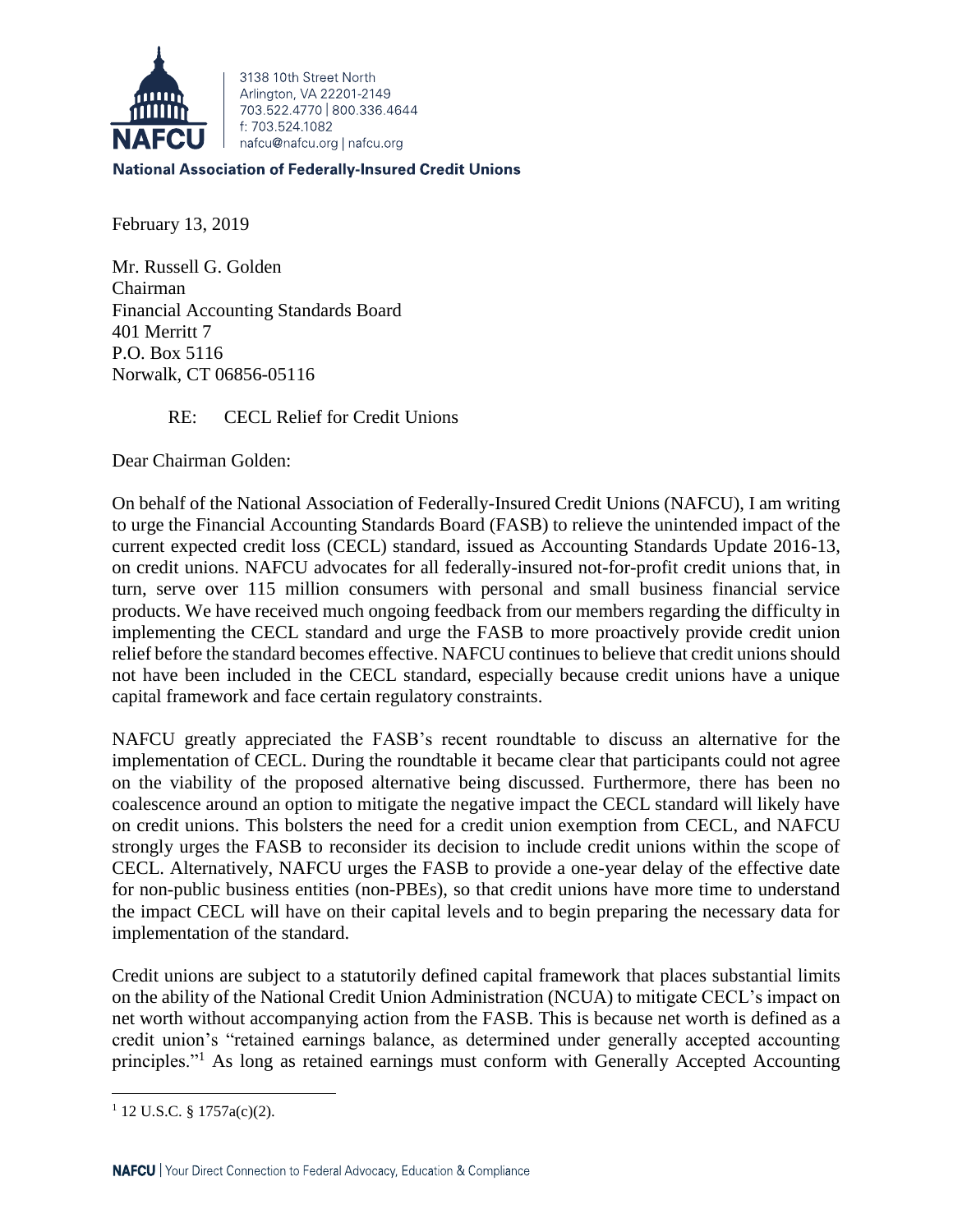

3138 10th Street North Arlington, VA 22201-2149 703 522 4770 800 336 4644 f: 703.524.1082 nafcu@nafcu.org | nafcu.org

**National Association of Federally-Insured Credit Unions** 

February 13, 2019

Mr. Russell G. Golden Chairman Financial Accounting Standards Board 401 Merritt 7 P.O. Box 5116 Norwalk, CT 06856-05116

RE: CECL Relief for Credit Unions

Dear Chairman Golden:

On behalf of the National Association of Federally-Insured Credit Unions (NAFCU), I am writing to urge the Financial Accounting Standards Board (FASB) to relieve the unintended impact of the current expected credit loss (CECL) standard, issued as Accounting Standards Update 2016-13, on credit unions. NAFCU advocates for all federally-insured not-for-profit credit unions that, in turn, serve over 115 million consumers with personal and small business financial service products. We have received much ongoing feedback from our members regarding the difficulty in implementing the CECL standard and urge the FASB to more proactively provide credit union relief before the standard becomes effective. NAFCU continues to believe that credit unions should not have been included in the CECL standard, especially because credit unions have a unique capital framework and face certain regulatory constraints.

NAFCU greatly appreciated the FASB's recent roundtable to discuss an alternative for the implementation of CECL. During the roundtable it became clear that participants could not agree on the viability of the proposed alternative being discussed. Furthermore, there has been no coalescence around an option to mitigate the negative impact the CECL standard will likely have on credit unions. This bolsters the need for a credit union exemption from CECL, and NAFCU strongly urges the FASB to reconsider its decision to include credit unions within the scope of CECL. Alternatively, NAFCU urges the FASB to provide a one-year delay of the effective date for non-public business entities (non-PBEs), so that credit unions have more time to understand the impact CECL will have on their capital levels and to begin preparing the necessary data for implementation of the standard.

Credit unions are subject to a statutorily defined capital framework that places substantial limits on the ability of the National Credit Union Administration (NCUA) to mitigate CECL's impact on net worth without accompanying action from the FASB. This is because net worth is defined as a credit union's "retained earnings balance, as determined under generally accepted accounting principles."<sup>1</sup> As long as retained earnings must conform with Generally Accepted Accounting

 $\overline{\phantom{a}}$  $1$  12 U.S.C. § 1757a(c)(2).